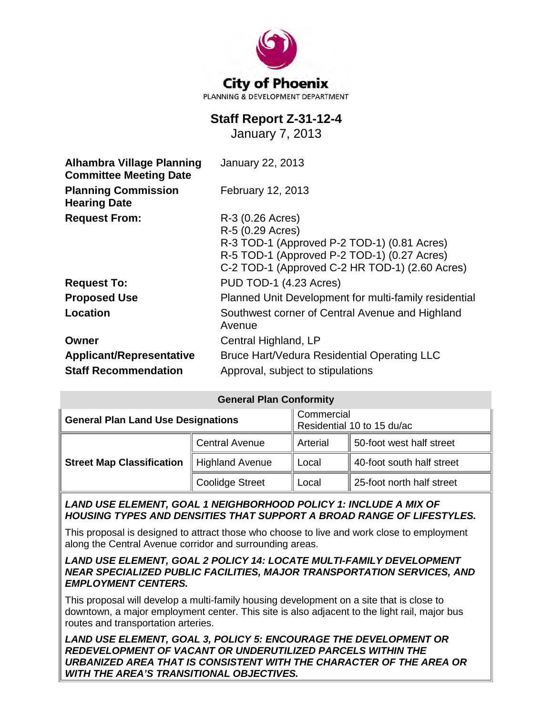

# **Staff Report Z-31-12-4**

January 7, 2013

| <b>Alhambra Village Planning</b><br><b>Committee Meeting Date</b> | <b>January 22, 2013</b>                                                                                                                                                              |  |  |
|-------------------------------------------------------------------|--------------------------------------------------------------------------------------------------------------------------------------------------------------------------------------|--|--|
| <b>Planning Commission</b><br><b>Hearing Date</b>                 | February 12, 2013                                                                                                                                                                    |  |  |
| <b>Request From:</b>                                              | R-3 (0.26 Acres)<br>R-5 (0.29 Acres)<br>R-3 TOD-1 (Approved P-2 TOD-1) (0.81 Acres)<br>R-5 TOD-1 (Approved P-2 TOD-1) (0.27 Acres)<br>C-2 TOD-1 (Approved C-2 HR TOD-1) (2.60 Acres) |  |  |
| <b>Request To:</b>                                                | PUD TOD-1 (4.23 Acres)                                                                                                                                                               |  |  |
| <b>Proposed Use</b>                                               | Planned Unit Development for multi-family residential                                                                                                                                |  |  |
| Location                                                          | Southwest corner of Central Avenue and Highland<br>Avenue                                                                                                                            |  |  |
| Owner                                                             | Central Highland, LP                                                                                                                                                                 |  |  |
| <b>Applicant/Representative</b>                                   | Bruce Hart/Vedura Residential Operating LLC                                                                                                                                          |  |  |
| <b>Staff Recommendation</b>                                       | Approval, subject to stipulations                                                                                                                                                    |  |  |

| <b>General Plan Conformity</b>            |                        |                                          |                           |  |
|-------------------------------------------|------------------------|------------------------------------------|---------------------------|--|
| <b>General Plan Land Use Designations</b> |                        | Commercial<br>Residential 10 to 15 du/ac |                           |  |
| <b>Street Map Classification</b>          | <b>Central Avenue</b>  | Arterial                                 | 50-foot west half street  |  |
|                                           | <b>Highland Avenue</b> | Local                                    | 40-foot south half street |  |
|                                           | <b>Coolidge Street</b> | Local                                    | 25-foot north half street |  |

LAND USE ELEMENT, GOAL 1 NEIGHBORHOOD POLICY 1: INCLUDE A MIX OF *HOUSING TYPES AND DENSITIES THAT SUPPORT A BROAD RANGE OF LIFESTYLES.*

This proposal is designed to attract those who choose to live and work close to employment along the Central Avenue corridor and surrounding areas.

#### *LAND USE ELEMENT, GOAL 2 POLICY 14: LOCATE MULTI-FAMILY DEVELOPMENT NEAR SPECIALIZED PUBLIC FACILITIES, MAJOR TRANSPORTATION SERVICES, AND EMPLOYMENT CENTERS.*

This proposal will develop a multi-family housing development on a site that is close to downtown, a major employment center. This site is also adjacent to the light rail, major bus routes and transportation arteries.

*LAND USE ELEMENT, GOAL 3, POLICY 5: ENCOURAGE THE DEVELOPMENT OR REDEVELOPMENT OF VACANT OR UNDERUTILIZED PARCELS WITHIN THE URBANIZED AREA THAT IS CONSISTENT WITH THE CHARACTER OF THE AREA OR WITH THE AREA'S TRANSITIONAL OBJECTIVES.*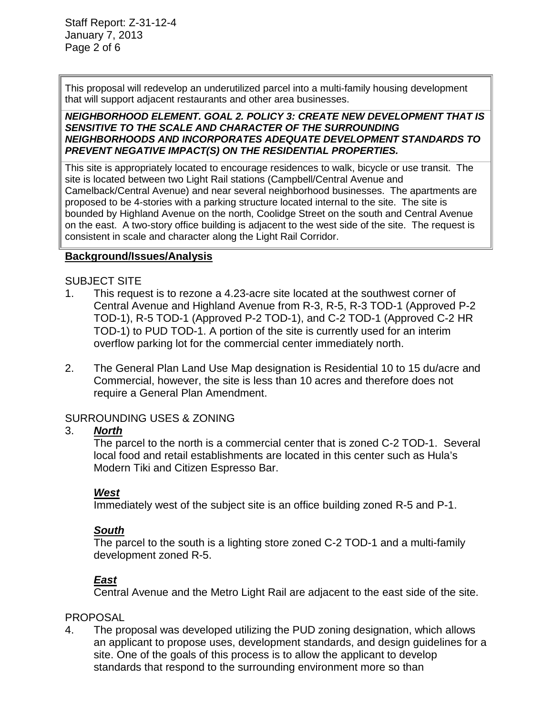This proposal will redevelop an underutilized parcel into a multi-family housing development that will support adjacent restaurants and other area businesses.

#### *NEIGHBORHOOD ELEMENT. GOAL 2. POLICY 3: CREATE NEW DEVELOPMENT THAT IS SENSITIVE TO THE SCALE AND CHARACTER OF THE SURROUNDING NEIGHBORHOODS AND INCORPORATES ADEQUATE DEVELOPMENT STANDARDS TO PREVENT NEGATIVE IMPACT(S) ON THE RESIDENTIAL PROPERTIES.*

This site is appropriately located to encourage residences to walk, bicycle or use transit. The site is located between two Light Rail stations (Campbell/Central Avenue and Camelback/Central Avenue) and near several neighborhood businesses. The apartments are proposed to be 4-stories with a parking structure located internal to the site. The site is bounded by Highland Avenue on the north, Coolidge Street on the south and Central Avenue on the east. A two-story office building is adjacent to the west side of the site. The request is consistent in scale and character along the Light Rail Corridor.

#### **Background/Issues/Analysis**

### SUBJECT SITE

- 1. This request is to rezone a 4.23-acre site located at the southwest corner of Central Avenue and Highland Avenue from R-3, R-5, R-3 TOD-1 (Approved P-2 TOD-1), R-5 TOD-1 (Approved P-2 TOD-1), and C-2 TOD-1 (Approved C-2 HR TOD-1) to PUD TOD-1. A portion of the site is currently used for an interim overflow parking lot for the commercial center immediately north.
- 2. The General Plan Land Use Map designation is Residential 10 to 15 du/acre and Commercial, however, the site is less than 10 acres and therefore does not require a General Plan Amendment.

# SURROUNDING USES & ZONING

# 3. *North*

The parcel to the north is a commercial center that is zoned C-2 TOD-1. Several local food and retail establishments are located in this center such as Hula's Modern Tiki and Citizen Espresso Bar.

# *West*

Immediately west of the subject site is an office building zoned R-5 and P-1.

# *South*

The parcel to the south is a lighting store zoned C-2 TOD-1 and a multi-family development zoned R-5.

# *East*

Central Avenue and the Metro Light Rail are adjacent to the east side of the site.

# **PROPOSAL**

4. The proposal was developed utilizing the PUD zoning designation, which allows an applicant to propose uses, development standards, and design guidelines for a site. One of the goals of this process is to allow the applicant to develop standards that respond to the surrounding environment more so than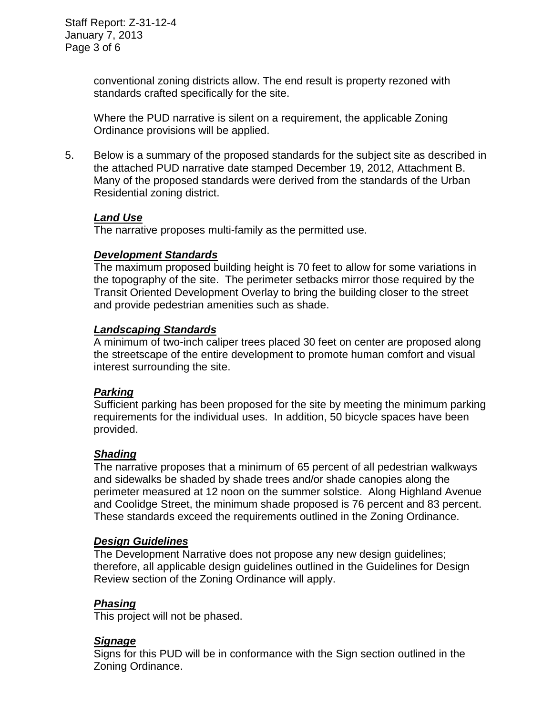conventional zoning districts allow. The end result is property rezoned with standards crafted specifically for the site.

Where the PUD narrative is silent on a requirement, the applicable Zoning Ordinance provisions will be applied.

5. Below is a summary of the proposed standards for the subject site as described in the attached PUD narrative date stamped December 19, 2012, Attachment B. Many of the proposed standards were derived from the standards of the Urban Residential zoning district.

#### *Land Use*

The narrative proposes multi-family as the permitted use.

#### *Development Standards*

The maximum proposed building height is 70 feet to allow for some variations in the topography of the site. The perimeter setbacks mirror those required by the Transit Oriented Development Overlay to bring the building closer to the street and provide pedestrian amenities such as shade.

#### *Landscaping Standards*

A minimum of two-inch caliper trees placed 30 feet on center are proposed along the streetscape of the entire development to promote human comfort and visual interest surrounding the site.

#### *Parking*

Sufficient parking has been proposed for the site by meeting the minimum parking requirements for the individual uses. In addition, 50 bicycle spaces have been provided.

#### *Shading*

The narrative proposes that a minimum of 65 percent of all pedestrian walkways and sidewalks be shaded by shade trees and/or shade canopies along the perimeter measured at 12 noon on the summer solstice. Along Highland Avenue and Coolidge Street, the minimum shade proposed is 76 percent and 83 percent. These standards exceed the requirements outlined in the Zoning Ordinance.

#### *Design Guidelines*

The Development Narrative does not propose any new design guidelines; therefore, all applicable design guidelines outlined in the Guidelines for Design Review section of the Zoning Ordinance will apply.

#### *Phasing*

This project will not be phased.

#### *Signage*

Signs for this PUD will be in conformance with the Sign section outlined in the Zoning Ordinance.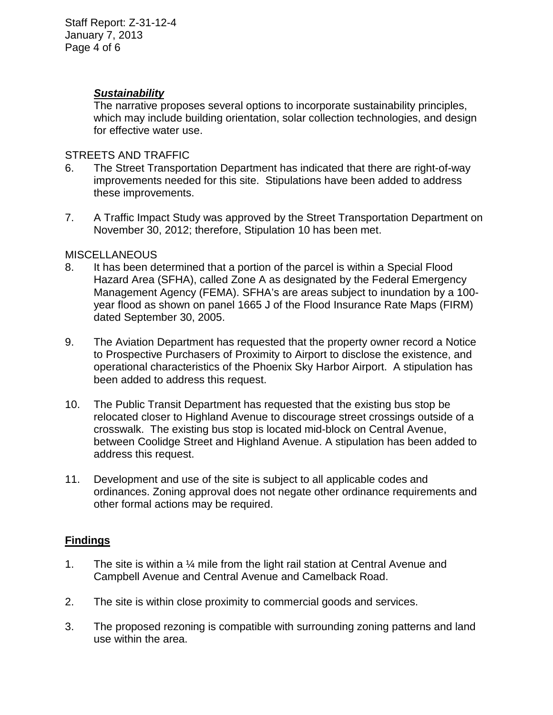#### *Sustainability*

The narrative proposes several options to incorporate sustainability principles, which may include building orientation, solar collection technologies, and design for effective water use.

#### STREETS AND TRAFFIC

- 6. The Street Transportation Department has indicated that there are right-of-way improvements needed for this site. Stipulations have been added to address these improvements.
- 7. A Traffic Impact Study was approved by the Street Transportation Department on November 30, 2012; therefore, Stipulation 10 has been met.

### **MISCELLANEOUS**

- 8. It has been determined that a portion of the parcel is within a Special Flood Hazard Area (SFHA), called Zone A as designated by the Federal Emergency Management Agency (FEMA). SFHA's are areas subject to inundation by a 100 year flood as shown on panel 1665 J of the Flood Insurance Rate Maps (FIRM) dated September 30, 2005.
- 9. The Aviation Department has requested that the property owner record a Notice to Prospective Purchasers of Proximity to Airport to disclose the existence, and operational characteristics of the Phoenix Sky Harbor Airport. A stipulation has been added to address this request.
- 10. The Public Transit Department has requested that the existing bus stop be relocated closer to Highland Avenue to discourage street crossings outside of a crosswalk. The existing bus stop is located mid-block on Central Avenue, between Coolidge Street and Highland Avenue. A stipulation has been added to address this request.
- 11. Development and use of the site is subject to all applicable codes and ordinances. Zoning approval does not negate other ordinance requirements and other formal actions may be required.

# **Findings**

- 1. The site is within a ¼ mile from the light rail station at Central Avenue and Campbell Avenue and Central Avenue and Camelback Road.
- 2. The site is within close proximity to commercial goods and services.
- 3. The proposed rezoning is compatible with surrounding zoning patterns and land use within the area.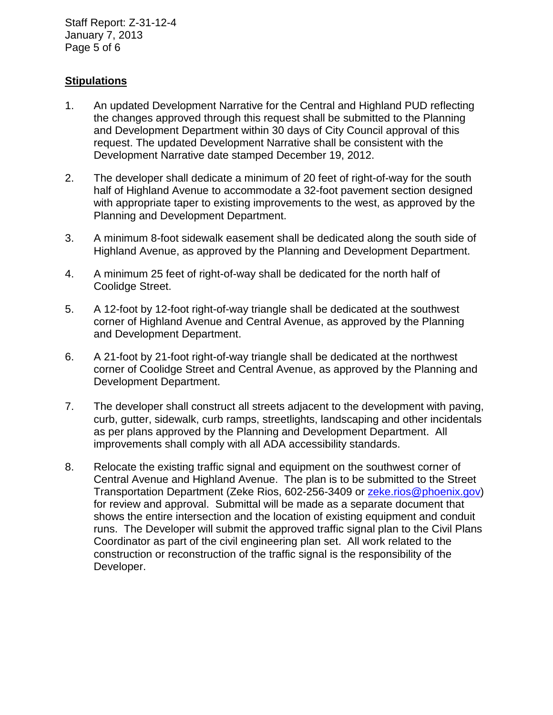Staff Report: Z-31-12-4 January 7, 2013 Page 5 of 6

### **Stipulations**

- 1. An updated Development Narrative for the Central and Highland PUD reflecting the changes approved through this request shall be submitted to the Planning and Development Department within 30 days of City Council approval of this request. The updated Development Narrative shall be consistent with the Development Narrative date stamped December 19, 2012.
- 2. The developer shall dedicate a minimum of 20 feet of right-of-way for the south half of Highland Avenue to accommodate a 32-foot pavement section designed with appropriate taper to existing improvements to the west, as approved by the Planning and Development Department.
- 3. A minimum 8-foot sidewalk easement shall be dedicated along the south side of Highland Avenue, as approved by the Planning and Development Department.
- 4. A minimum 25 feet of right-of-way shall be dedicated for the north half of Coolidge Street.
- 5. A 12-foot by 12-foot right-of-way triangle shall be dedicated at the southwest corner of Highland Avenue and Central Avenue, as approved by the Planning and Development Department.
- 6. A 21-foot by 21-foot right-of-way triangle shall be dedicated at the northwest corner of Coolidge Street and Central Avenue, as approved by the Planning and Development Department.
- 7. The developer shall construct all streets adjacent to the development with paving, curb, gutter, sidewalk, curb ramps, streetlights, landscaping and other incidentals as per plans approved by the Planning and Development Department. All improvements shall comply with all ADA accessibility standards.
- 8. Relocate the existing traffic signal and equipment on the southwest corner of Central Avenue and Highland Avenue. The plan is to be submitted to the Street Transportation Department (Zeke Rios, 602-256-3409 or [zeke.rios@phoenix.gov\)](mailto:zeke.rios@phoenix.gov) for review and approval. Submittal will be made as a separate document that shows the entire intersection and the location of existing equipment and conduit runs. The Developer will submit the approved traffic signal plan to the Civil Plans Coordinator as part of the civil engineering plan set. All work related to the construction or reconstruction of the traffic signal is the responsibility of the Developer.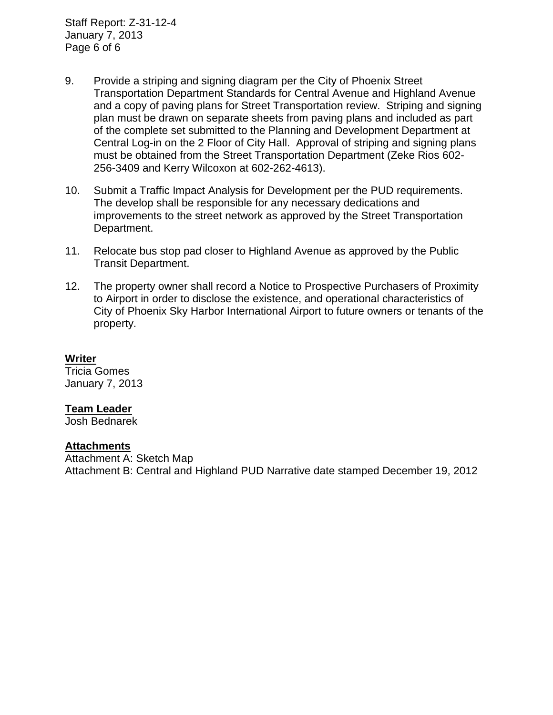Staff Report: Z-31-12-4 January 7, 2013 Page 6 of 6

- 9. Provide a striping and signing diagram per the City of Phoenix Street Transportation Department Standards for Central Avenue and Highland Avenue and a copy of paving plans for Street Transportation review. Striping and signing plan must be drawn on separate sheets from paving plans and included as part of the complete set submitted to the Planning and Development Department at Central Log-in on the 2 Floor of City Hall. Approval of striping and signing plans must be obtained from the Street Transportation Department (Zeke Rios 602- 256-3409 and Kerry Wilcoxon at 602-262-4613).
- 10. Submit a Traffic Impact Analysis for Development per the PUD requirements. The develop shall be responsible for any necessary dedications and improvements to the street network as approved by the Street Transportation Department.
- 11. Relocate bus stop pad closer to Highland Avenue as approved by the Public Transit Department.
- 12. The property owner shall record a Notice to Prospective Purchasers of Proximity to Airport in order to disclose the existence, and operational characteristics of City of Phoenix Sky Harbor International Airport to future owners or tenants of the property.

#### **Writer**

Tricia Gomes January 7, 2013

#### **Team Leader**

Josh Bednarek

#### **Attachments**

Attachment A: Sketch Map Attachment B: Central and Highland PUD Narrative date stamped December 19, 2012